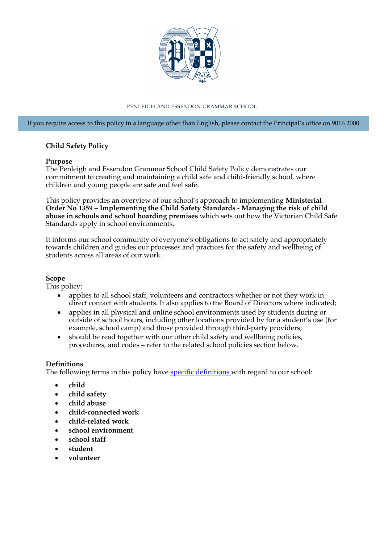

#### PENLEIGH AND ESSENDON GRAMMAR SCHOOL

If you require access to this policy in a language other than English, please contact the Principal's office on 9016 2000

### **Child Safety Policy**

#### **Purpose**

The Penleigh and Essendon Grammar School Child Safety Policy demonstrates our commitment to creating and maintaining a child safe and child-friendly school, where children and young people are safe and feel safe.

This policy provides an overview of our school's approach to implementing **Ministerial Order No 1359 – Implementing the Child Safety Standards - Managing the risk of child abuse in schools and school boarding premises** which sets out how the Victorian Child Safe Standards apply in school environments.

It informs our school community of everyone's obligations to act safely and appropriately towards children and guides our processes and practices for the safety and wellbeing of students across all areas of our work.

### **Scope**

This policy:

- applies to all school staff, volunteers and contractors whether or not they work in direct contact with students. It also applies to the Board of Directors where indicated;
- applies in all physical and online school environments used by students during or outside of school hours, including other locations provided by for a student's use (for example, school camp) and those provided through third-party providers;
- should be read together with our other child safety and wellbeing policies, procedures, and codes – refer to the related school policies section below.

### **Definitions**

The following terms in this policy have [specific definitions](https://www.vic.gov.au/child-safe-standards-definitions) with regard to our school:

- **child**
- **child safety**
- **child abuse**
- **child-connected work**
- **child-related work**
- **school environment**
- **school staff**
- **student**
- **volunteer**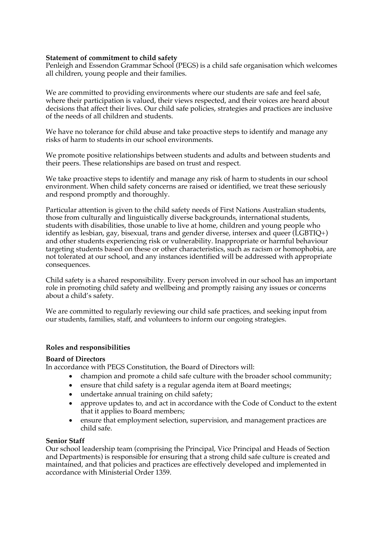### **Statement of commitment to child safety**

Penleigh and Essendon Grammar School (PEGS) is a child safe organisation which welcomes all children, young people and their families.

We are committed to providing environments where our students are safe and feel safe, where their participation is valued, their views respected, and their voices are heard about decisions that affect their lives. Our child safe policies, strategies and practices are inclusive of the needs of all children and students.

We have no tolerance for child abuse and take proactive steps to identify and manage any risks of harm to students in our school environments.

We promote positive relationships between students and adults and between students and their peers. These relationships are based on trust and respect.

We take proactive steps to identify and manage any risk of harm to students in our school environment. When child safety concerns are raised or identified, we treat these seriously and respond promptly and thoroughly.

Particular attention is given to the child safety needs of First Nations Australian students, those from culturally and linguistically diverse backgrounds, international students, students with disabilities, those unable to live at home, children and young people who identify as lesbian, gay, bisexual, trans and gender diverse, intersex and queer (LGBTIQ+) and other students experiencing risk or vulnerability. Inappropriate or harmful behaviour targeting students based on these or other characteristics, such as racism or homophobia, are not tolerated at our school, and any instances identified will be addressed with appropriate consequences.

Child safety is a shared responsibility. Every person involved in our school has an important role in promoting child safety and wellbeing and promptly raising any issues or concerns about a child's safety.

We are committed to regularly reviewing our child safe practices, and seeking input from our students, families, staff, and volunteers to inform our ongoing strategies.

### **Roles and responsibilities**

### **Board of Directors**

In accordance with PEGS Constitution, the Board of Directors will:

- champion and promote a child safe culture with the broader school community;
- ensure that child safety is a regular agenda item at Board meetings;
- undertake annual training on child safety:
- approve updates to, and act in accordance with the Code of Conduct to the extent that it applies to Board members;
- ensure that employment selection, supervision, and management practices are child safe.

### **Senior Staff**

Our school leadership team (comprising the Principal, Vice Principal and Heads of Section and Departments) is responsible for ensuring that a strong child safe culture is created and maintained, and that policies and practices are effectively developed and implemented in accordance with Ministerial Order 1359.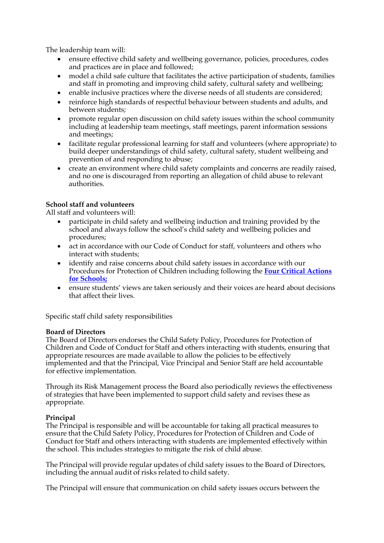The leadership team will:

- ensure effective child safety and wellbeing governance, policies, procedures, codes and practices are in place and followed;
- model a child safe culture that facilitates the active participation of students, families and staff in promoting and improving child safety, cultural safety and wellbeing;
- enable inclusive practices where the diverse needs of all students are considered;
- reinforce high standards of respectful behaviour between students and adults, and between students;
- promote regular open discussion on child safety issues within the school community including at leadership team meetings, staff meetings, parent information sessions and meetings;
- facilitate regular professional learning for staff and volunteers (where appropriate) to build deeper understandings of child safety, cultural safety, student wellbeing and prevention of and responding to abuse;
- create an environment where child safety complaints and concerns are readily raised, and no one is discouraged from reporting an allegation of child abuse to relevant authorities.

# **School staff and volunteers**

All staff and volunteers will:

- participate in child safety and wellbeing induction and training provided by the school and always follow the school's child safety and wellbeing policies and procedures;
- act in accordance with our Code of Conduct for staff, volunteers and others who interact with students;
- identify and raise concerns about child safety issues in accordance with our [Procedures for Protection of Children including following the](https://www.education.vic.gov.au/school/teachers/health/childprotection/Pages/report.aspx) **Four Critical Actions for Schools;**
- ensure students' views are taken seriously and their voices are heard about decisions that affect their lives.

Specific staff child safety responsibilities

## **Board of Directors**

The Board of Directors endorses the Child Safety Policy, Procedures for Protection of Children and Code of Conduct for Staff and others interacting with students, ensuring that appropriate resources are made available to allow the policies to be effectively implemented and that the Principal, Vice Principal and Senior Staff are held accountable for effective implementation.

Through its Risk Management process the Board also periodically reviews the effectiveness of strategies that have been implemented to support child safety and revises these as appropriate.

## **Principal**

The Principal is responsible and will be accountable for taking all practical measures to ensure that the Child Safety Policy, Procedures for Protection of Children and Code of Conduct for Staff and others interacting with students are implemented effectively within the school. This includes strategies to mitigate the risk of child abuse.

The Principal will provide regular updates of child safety issues to the Board of Directors, including the annual audit of risks related to child safety.

The Principal will ensure that communication on child safety issues occurs between the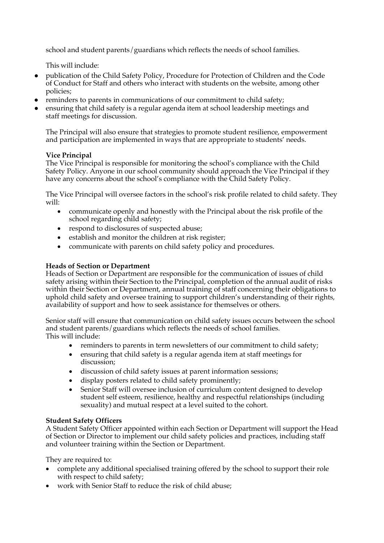school and student parents/guardians which reflects the needs of school families.

This will include:

- publication of the Child Safety Policy, Procedure for Protection of Children and the Code of Conduct for Staff and others who interact with students on the website, among other policies;
- reminders to parents in communications of our commitment to child safety;
- ensuring that child safety is a regular agenda item at school leadership meetings and staff meetings for discussion.

The Principal will also ensure that strategies to promote student resilience, empowerment and participation are implemented in ways that are appropriate to students' needs.

## **Vice Principal**

The Vice Principal is responsible for monitoring the school's compliance with the Child Safety Policy. Anyone in our school community should approach the Vice Principal if they have any concerns about the school's compliance with the Child Safety Policy.

The Vice Principal will oversee factors in the school's risk profile related to child safety. They will:

- communicate openly and honestly with the Principal about the risk profile of the school regarding child safety;
- respond to disclosures of suspected abuse;
- establish and monitor the children at risk register;
- communicate with parents on child safety policy and procedures.

# **Heads of Section or Department**

Heads of Section or Department are responsible for the communication of issues of child safety arising within their Section to the Principal, completion of the annual audit of risks within their Section or Department, annual training of staff concerning their obligations to uphold child safety and oversee training to support children's understanding of their rights, availability of support and how to seek assistance for themselves or others.

Senior staff will ensure that communication on child safety issues occurs between the school and student parents/guardians which reflects the needs of school families. This will include:

- reminders to parents in term newsletters of our commitment to child safety;
- ensuring that child safety is a regular agenda item at staff meetings for discussion;
- discussion of child safety issues at parent information sessions;
- display posters related to child safety prominently;
- Senior Staff will oversee inclusion of curriculum content designed to develop student self esteem, resilience, healthy and respectful relationships (including sexuality) and mutual respect at a level suited to the cohort.

## **Student Safety Officers**

A Student Safety Officer appointed within each Section or Department will support the Head of Section or Director to implement our child safety policies and practices, including staff and volunteer training within the Section or Department.

They are required to:

- complete any additional specialised training offered by the school to support their role with respect to child safety;
- work with Senior Staff to reduce the risk of child abuse: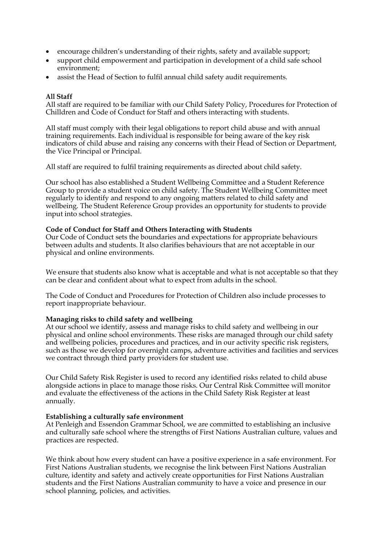- encourage children's understanding of their rights, safety and available support;
- support child empowerment and participation in development of a child safe school environment;
- assist the Head of Section to fulfil annual child safety audit requirements.

### **All Staff**

All staff are required to be familiar with our Child Safety Policy, Procedures for Protection of Chilldren and Code of Conduct for Staff and others interacting with students.

All staff must comply with their legal obligations to report child abuse and with annual training requirements. Each individual is responsible for being aware of the key risk indicators of child abuse and raising any concerns with their Head of Section or Department, the Vice Principal or Principal.

All staff are required to fulfil training requirements as directed about child safety.

Our school has also established a Student Wellbeing Committee and a Student Reference Group to provide a student voice on child safety. The Student Wellbeing Committee meet regularly to identify and respond to any ongoing matters related to child safety and wellbeing. The Student Reference Group provides an opportunity for students to provide input into school strategies.

#### **Code of Conduct for Staff and Others Interacting with Students**

Our Code of Conduct sets the boundaries and expectations for appropriate behaviours between adults and students. It also clarifies behaviours that are not acceptable in our physical and online environments.

We ensure that students also know what is acceptable and what is not acceptable so that they can be clear and confident about what to expect from adults in the school.

The Code of Conduct and Procedures for Protection of Children also include processes to report inappropriate behaviour.

### **Managing risks to child safety and wellbeing**

At our school we identify, assess and manage risks to child safety and wellbeing in our physical and online school environments. These risks are managed through our child safety and wellbeing policies, procedures and practices, and in our activity specific risk registers, such as those we develop for overnight camps, adventure activities and facilities and services we contract through third party providers for student use.

Our Child Safety Risk Register is used to record any identified risks related to child abuse alongside actions in place to manage those risks. Our Central Risk Committee will monitor and evaluate the effectiveness of the actions in the Child Safety Risk Register at least annually.

#### **Establishing a culturally safe environment**

At Penleigh and Essendon Grammar School, we are committed to establishing an inclusive and culturally safe school where the strengths of First Nations Australian culture, values and practices are respected.

We think about how every student can have a positive experience in a safe environment. For First Nations Australian students, we recognise the link between First Nations Australian culture, identity and safety and actively create opportunities for First Nations Australian students and the First Nations Australian community to have a voice and presence in our school planning, policies, and activities.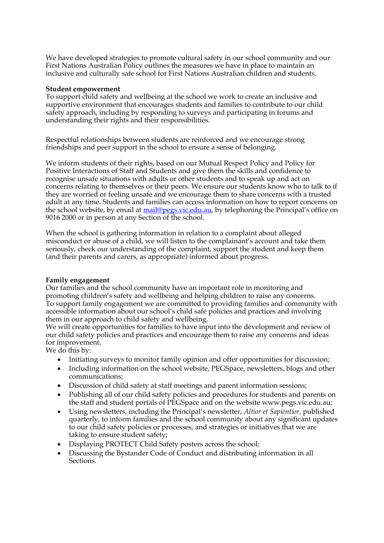We have developed strategies to promote cultural safety in our school community and our First Nations Australian Policy outlines the measures we have in place to maintain an inclusive and culturally safe school for First Nations Australian children and students.

### **Student empowerment**

To support child safety and wellbeing at the school we work to create an inclusive and supportive environment that encourages students and families to contribute to our child safety approach, including by responding to surveys and participating in forums and understanding their rights and their responsibilities.

Respectful relationships between students are reinforced and we encourage strong friendships and peer support in the school to ensure a sense of belonging.

We inform students of their rights, based on our Mutual Respect Policy and Policy for Positive Interactions of Staff and Students and give them the skills and confidence to recognise unsafe situations with adults or other students and to speak up and act on concerns relating to themselves or their peers. We ensure our students know who to talk to if they are worried or feeling unsafe and we encourage them to share concerns with a trusted adult at any time. Students and families can access information on how to report concerns on the school website, by email at mail@pegs.vic.edu.au, by telephoning the Principal's office on 9016 2000 or in person at any Section of the school.

When the school is gathering information in relation to a complaint about alleged misconduct or abuse of a child, we will listen to the complainant's account and take them seriously, check our understanding of the complaint, support the student and keep them (and their parents and carers, as appropriate) informed about progress.

## **Family engagement**

Our families and the school community have an important role in monitoring and promoting children's safety and wellbeing and helping children to raise any concerns. To support family engagement we are committed to providing families and community with accessible information about our school's child safe policies and practices and involving them in our approach to child safety and wellbeing.

We will create opportunities for families to have input into the development and review of our child safety policies and practices and encourage them to raise any concerns and ideas for improvement.

We do this by:

- Initiating surveys to monitor family opinion and offer opportunities for discussion;
- Including information on the school website, PEGSpace, newsletters, blogs and other communications;
- Discussion of child safety at staff meetings and parent information sessions;
- Publishing all of our child safety policies and procedures for students and parents on the staff and student portals of PEGSpace and on the website www.pegs.vic.edu.au;
- Using newsletters, including the Principal's newsletter, *Altior et Sapientior*, published quarterly, to inform families and the school community about any significant updates to our child safety policies or processes, and strategies or initiatives that we are taking to ensure student safety;
- Displaying PROTECT Child Safety posters across the school;
- Discussing the Bystander Code of Conduct and distributing information in all Sections.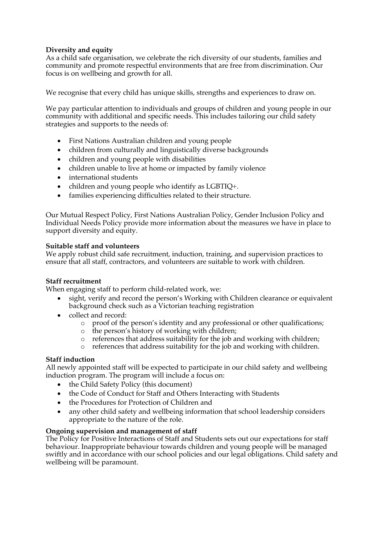# **Diversity and equity**

As a child safe organisation, we celebrate the rich diversity of our students, families and community and promote respectful environments that are free from discrimination. Our focus is on wellbeing and growth for all.

We recognise that every child has unique skills, strengths and experiences to draw on.

We pay particular attention to individuals and groups of children and young people in our community with additional and specific needs. This includes tailoring our child safety strategies and supports to the needs of:

- First Nations Australian children and young people
- children from culturally and linguistically diverse backgrounds
- children and young people with disabilities
- children unable to live at home or impacted by family violence
- international students
- children and young people who identify as LGBTIQ+.
- families experiencing difficulties related to their structure.

Our Mutual Respect Policy, First Nations Australian Policy, Gender Inclusion Policy and Individual Needs Policy provide more information about the measures we have in place to support diversity and equity.

## **Suitable staff and volunteers**

We apply robust child safe recruitment, induction, training, and supervision practices to ensure that all staff, contractors, and volunteers are suitable to work with children.

## **Staff recruitment**

When engaging staff to perform child-related work, we:

- sight, verify and record the person's Working with Children clearance or equivalent background check such as a Victorian teaching registration
- collect and record:
	- o proof of the person's identity and any professional or other qualifications;
	- o the person's history of working with children;
	- o references that address suitability for the job and working with children;
	- o references that address suitability for the job and working with children.

## **Staff induction**

All newly appointed staff will be expected to participate in our child safety and wellbeing induction program. The program will include a focus on:

- the Child Safety Policy (this document)
- the Code of Conduct for Staff and Others Interacting with Students
- the Procedures for Protection of Children and
- any other child safety and wellbeing information that school leadership considers appropriate to the nature of the role.

## **Ongoing supervision and management of staff**

The Policy for Positive Interactions of Staff and Students sets out our expectations for staff behaviour. Inappropriate behaviour towards children and young people will be managed swiftly and in accordance with our school policies and our legal obligations. Child safety and wellbeing will be paramount.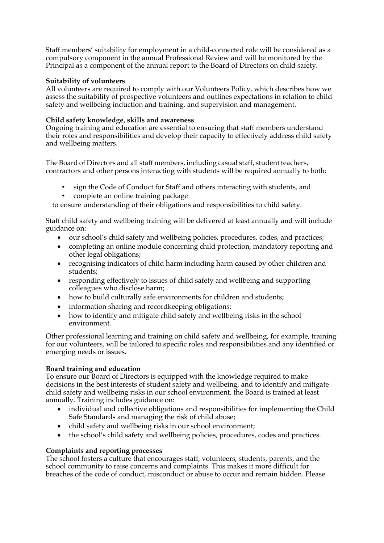Staff members' suitability for employment in a child-connected role will be considered as a compulsory component in the annual Professional Review and will be monitored by the Principal as a component of the annual report to the Board of Directors on child safety.

## **Suitability of volunteers**

All volunteers are required to comply with our Volunteers Policy, which describes how we assess the suitability of prospective volunteers and outlines expectations in relation to child safety and wellbeing induction and training, and supervision and management.

## **Child safety knowledge, skills and awareness**

Ongoing training and education are essential to ensuring that staff members understand their roles and responsibilities and develop their capacity to effectively address child safety and wellbeing matters.

The Board of Directors and all staff members, including casual staff, student teachers, contractors and other persons interacting with students will be required annually to both:

- sign the Code of Conduct for Staff and others interacting with students, and
- complete an online training package

to ensure understanding of their obligations and responsibilities to child safety.

Staff child safety and wellbeing training will be delivered at least annually and will include guidance on:

- our school's child safety and wellbeing policies, procedures, codes, and practices;
- completing an online module concerning child protection, mandatory reporting and other legal obligations;
- recognising indicators of child harm including harm caused by other children and students;
- responding effectively to issues of child safety and wellbeing and supporting colleagues who disclose harm;
- how to build culturally safe environments for children and students;
- information sharing and recordkeeping obligations;
- how to identify and mitigate child safety and wellbeing risks in the school environment.

Other professional learning and training on child safety and wellbeing, for example, training for our volunteers, will be tailored to specific roles and responsibilities and any identified or emerging needs or issues.

## **Board training and education**

To ensure our Board of Directors is equipped with the knowledge required to make decisions in the best interests of student safety and wellbeing, and to identify and mitigate child safety and wellbeing risks in our school environment, the Board is trained at least annually. Training includes guidance on:

- individual and collective obligations and responsibilities for implementing the Child Safe Standards and managing the risk of child abuse;
- child safety and wellbeing risks in our school environment;
- the school's child safety and wellbeing policies, procedures, codes and practices.

## **Complaints and reporting processes**

The school fosters a culture that encourages staff, volunteers, students, parents, and the school community to raise concerns and complaints. This makes it more difficult for breaches of the code of conduct, misconduct or abuse to occur and remain hidden. Please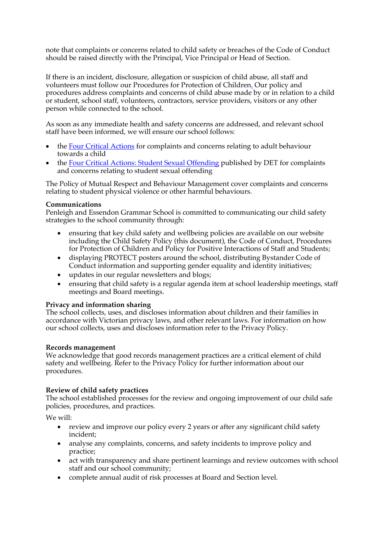note that complaints or concerns related to child safety or breaches of the Code of Conduct should be raised directly with the Principal, Vice Principal or Head of Section.

If there is an incident, disclosure, allegation or suspicion of child abuse, all staff and volunteers must follow our Procedures for Protection of Children. Our policy and procedures address complaints and concerns of child abuse made by or in relation to a child or student, school staff, volunteers, contractors, service providers, visitors or any other person while connected to the school.

As soon as any immediate health and safety concerns are addressed, and relevant school staff have been informed, we will ensure our school follows:

- the [Four Critical Actions](https://www.education.vic.gov.au/school/teachers/health/childprotection/Pages/report.aspx#link45) for complaints and concerns relating to adult behaviour towards a child
- the [Four Critical Actions: Student Sexual Offending](https://www.education.vic.gov.au/school/teachers/health/childprotection/Pages/stusexual.aspx) published by DET for complaints and concerns relating to student sexual offending

The Policy of Mutual Respect and Behaviour Management cover complaints and concerns relating to student physical violence or other harmful behaviours.

### **Communications**

Penleigh and Essendon Grammar School is committed to communicating our child safety strategies to the school community through:

- ensuring that key child safety and wellbeing policies are available on our website including the Child Safety Policy (this document), the Code of Conduct, Procedures for Protection of Children and Policy for Positive Interactions of Staff and Students;
- displaying PROTECT posters around the school, distributing Bystander Code of Conduct information and supporting gender equality and identity initiatives;
- updates in our regular newsletters and blogs;
- ensuring that child safety is a regular agenda item at school leadership meetings, staff meetings and Board meetings.

## **Privacy and information sharing**

The school collects, uses, and discloses information about children and their families in accordance with Victorian privacy laws, and other relevant laws. For information on how our school collects, uses and discloses information refer to the Privacy Policy.

### **Records management**

We acknowledge that good records management practices are a critical element of child safety and wellbeing. Refer to the Privacy Policy for further information about our procedures.

## **Review of child safety practices**

The school established processes for the review and ongoing improvement of our child safe policies, procedures, and practices.

We will:

- review and improve our policy every 2 years or after any significant child safety incident;
- analyse any complaints, concerns, and safety incidents to improve policy and practice;
- act with transparency and share pertinent learnings and review outcomes with school staff and our school community;
- complete annual audit of risk processes at Board and Section level.